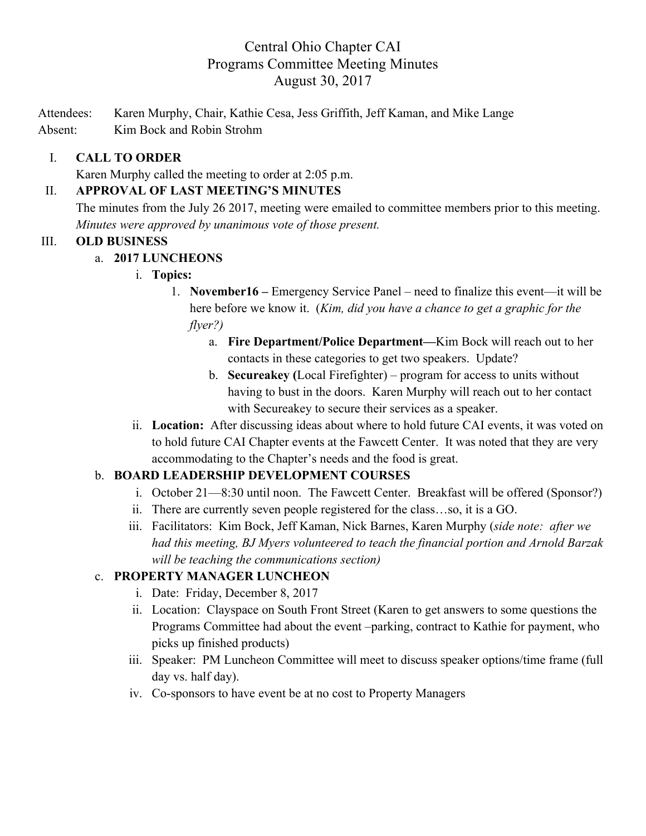# Central Ohio Chapter CAI Programs Committee Meeting Minutes August 30, 2017

Attendees: Karen Murphy, Chair, Kathie Cesa, Jess Griffith, Jeff Kaman, and Mike Lange Absent: Kim Bock and Robin Strohm

### I. **CALL TO ORDER**

Karen Murphy called the meeting to order at 2:05 p.m.

### II. **APPROVAL OF LAST MEETING'S MINUTES**

The minutes from the July 26 2017, meeting were emailed to committee members prior to this meeting. *Minutes were approved by unanimous vote of those present.*

#### III. **OLD BUSINESS**

### a. **2017 LUNCHEONS**

- i. **Topics:**
	- 1. **November16 –** Emergency Service Panel need to finalize this event—it will be here before we know it. (*Kim, did you have a chance to get a graphic for the flyer?)*
		- a. **Fire Department/Police Department—**Kim Bock will reach out to her contacts in these categories to get two speakers. Update?
		- b. **Secureakey (**Local Firefighter) program for access to units without having to bust in the doors. Karen Murphy will reach out to her contact with Secureakey to secure their services as a speaker.
- ii. **Location:** After discussing ideas about where to hold future CAI events, it was voted on to hold future CAI Chapter events at the Fawcett Center. It was noted that they are very accommodating to the Chapter's needs and the food is great.

### b. **BOARD LEADERSHIP DEVELOPMENT COURSES**

- i. October 21—8:30 until noon. The Fawcett Center. Breakfast will be offered (Sponsor?)
- ii. There are currently seven people registered for the class…so, it is a GO.
- iii. Facilitators: Kim Bock, Jeff Kaman, Nick Barnes, Karen Murphy (*side note: after we had this meeting, BJ Myers volunteered to teach the financial portion and Arnold Barzak will be teaching the communications section)*

### c. **PROPERTY MANAGER LUNCHEON**

- i. Date: Friday, December 8, 2017
- ii. Location: Clayspace on South Front Street (Karen to get answers to some questions the Programs Committee had about the event –parking, contract to Kathie for payment, who picks up finished products)
- iii. Speaker: PM Luncheon Committee will meet to discuss speaker options/time frame (full day vs. half day).
- iv. Co-sponsors to have event be at no cost to Property Managers